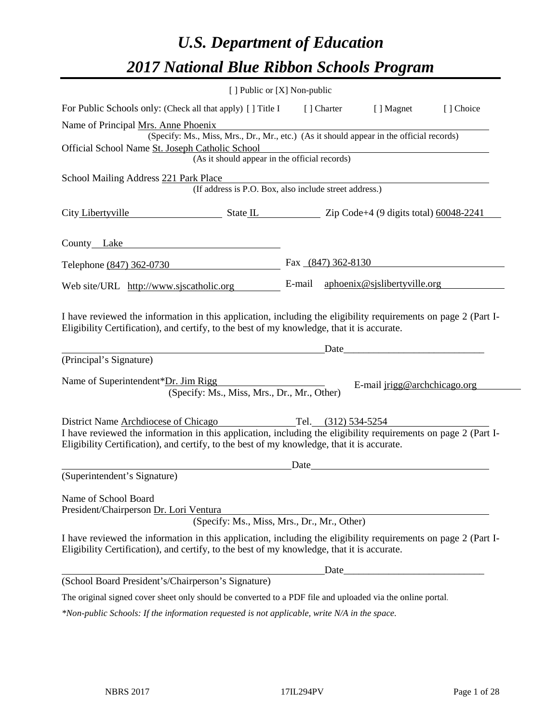# *U.S. Department of Education 2017 National Blue Ribbon Schools Program*

|                                                                                                                                                                                                              | [ ] Public or [X] Non-public                                                             |        |             |                                                                                                                                                                                                                                |           |
|--------------------------------------------------------------------------------------------------------------------------------------------------------------------------------------------------------------|------------------------------------------------------------------------------------------|--------|-------------|--------------------------------------------------------------------------------------------------------------------------------------------------------------------------------------------------------------------------------|-----------|
| For Public Schools only: (Check all that apply) [] Title I                                                                                                                                                   |                                                                                          |        | [ ] Charter | [ ] Magnet                                                                                                                                                                                                                     | [] Choice |
| Name of Principal Mrs. Anne Phoenix                                                                                                                                                                          |                                                                                          |        |             |                                                                                                                                                                                                                                |           |
|                                                                                                                                                                                                              | (Specify: Ms., Miss, Mrs., Dr., Mr., etc.) (As it should appear in the official records) |        |             |                                                                                                                                                                                                                                |           |
| Official School Name St. Joseph Catholic School                                                                                                                                                              |                                                                                          |        |             |                                                                                                                                                                                                                                |           |
|                                                                                                                                                                                                              | (As it should appear in the official records)                                            |        |             |                                                                                                                                                                                                                                |           |
| School Mailing Address 221 Park Place                                                                                                                                                                        |                                                                                          |        |             |                                                                                                                                                                                                                                |           |
|                                                                                                                                                                                                              | (If address is P.O. Box, also include street address.)                                   |        |             |                                                                                                                                                                                                                                |           |
| City Libertyville State IL State IL Zip Code+4 (9 digits total) 60048-2241                                                                                                                                   |                                                                                          |        |             |                                                                                                                                                                                                                                |           |
| County Lake                                                                                                                                                                                                  | <u> 1980 - Johann Barbara, martxa alemaniar a</u>                                        |        |             |                                                                                                                                                                                                                                |           |
| Telephone (847) 362-0730                                                                                                                                                                                     |                                                                                          |        |             | Fax $(847)$ 362-8130                                                                                                                                                                                                           |           |
| Web site/URL http://www.sjscatholic.org                                                                                                                                                                      |                                                                                          | E-mail |             | aphoenix@sjslibertyville.org                                                                                                                                                                                                   |           |
| Eligibility Certification), and certify, to the best of my knowledge, that it is accurate.<br>(Principal's Signature)                                                                                        |                                                                                          |        |             | Date and the contract of the contract of the contract of the contract of the contract of the contract of the contract of the contract of the contract of the contract of the contract of the contract of the contract of the c |           |
| Name of Superintendent*Dr. Jim Rigg                                                                                                                                                                          | (Specify: Ms., Miss, Mrs., Dr., Mr., Other)                                              |        |             | E-mail jrigg@archchicago.org                                                                                                                                                                                                   |           |
| District Name Archdiocese of Chicago Tel. (312) 534-5254                                                                                                                                                     |                                                                                          |        |             |                                                                                                                                                                                                                                |           |
| I have reviewed the information in this application, including the eligibility requirements on page 2 (Part I-<br>Eligibility Certification), and certify, to the best of my knowledge, that it is accurate. |                                                                                          |        |             |                                                                                                                                                                                                                                |           |
|                                                                                                                                                                                                              |                                                                                          |        |             | Date and the contract of the contract of the contract of the contract of the contract of the contract of the contract of the contract of the contract of the contract of the contract of the contract of the contract of the c |           |
| (Superintendent's Signature)                                                                                                                                                                                 |                                                                                          |        |             |                                                                                                                                                                                                                                |           |
| Name of School Board<br>President/Chairperson Dr. Lori Ventura                                                                                                                                               |                                                                                          |        |             |                                                                                                                                                                                                                                |           |
|                                                                                                                                                                                                              | (Specify: Ms., Miss, Mrs., Dr., Mr., Other)                                              |        |             |                                                                                                                                                                                                                                |           |
| I have reviewed the information in this application, including the eligibility requirements on page 2 (Part I-<br>Eligibility Certification), and certify, to the best of my knowledge, that it is accurate. |                                                                                          |        |             |                                                                                                                                                                                                                                |           |
|                                                                                                                                                                                                              |                                                                                          |        | Date        |                                                                                                                                                                                                                                |           |
| (School Board President's/Chairperson's Signature)                                                                                                                                                           |                                                                                          |        |             |                                                                                                                                                                                                                                |           |
| The original signed cover sheet only should be converted to a PDF file and uploaded via the online portal.                                                                                                   |                                                                                          |        |             |                                                                                                                                                                                                                                |           |
| *Non-public Schools: If the information requested is not applicable, write N/A in the space.                                                                                                                 |                                                                                          |        |             |                                                                                                                                                                                                                                |           |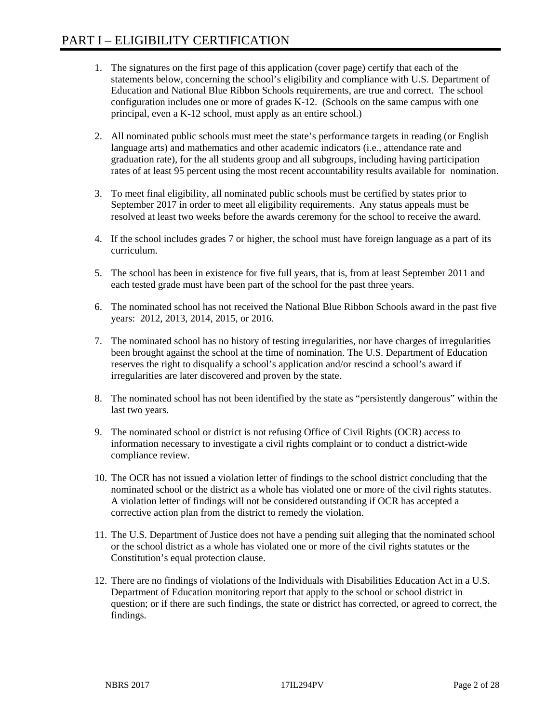- 1. The signatures on the first page of this application (cover page) certify that each of the statements below, concerning the school's eligibility and compliance with U.S. Department of Education and National Blue Ribbon Schools requirements, are true and correct. The school configuration includes one or more of grades K-12. (Schools on the same campus with one principal, even a K-12 school, must apply as an entire school.)
- 2. All nominated public schools must meet the state's performance targets in reading (or English language arts) and mathematics and other academic indicators (i.e., attendance rate and graduation rate), for the all students group and all subgroups, including having participation rates of at least 95 percent using the most recent accountability results available for nomination.
- 3. To meet final eligibility, all nominated public schools must be certified by states prior to September 2017 in order to meet all eligibility requirements. Any status appeals must be resolved at least two weeks before the awards ceremony for the school to receive the award.
- 4. If the school includes grades 7 or higher, the school must have foreign language as a part of its curriculum.
- 5. The school has been in existence for five full years, that is, from at least September 2011 and each tested grade must have been part of the school for the past three years.
- 6. The nominated school has not received the National Blue Ribbon Schools award in the past five years: 2012, 2013, 2014, 2015, or 2016.
- 7. The nominated school has no history of testing irregularities, nor have charges of irregularities been brought against the school at the time of nomination. The U.S. Department of Education reserves the right to disqualify a school's application and/or rescind a school's award if irregularities are later discovered and proven by the state.
- 8. The nominated school has not been identified by the state as "persistently dangerous" within the last two years.
- 9. The nominated school or district is not refusing Office of Civil Rights (OCR) access to information necessary to investigate a civil rights complaint or to conduct a district-wide compliance review.
- 10. The OCR has not issued a violation letter of findings to the school district concluding that the nominated school or the district as a whole has violated one or more of the civil rights statutes. A violation letter of findings will not be considered outstanding if OCR has accepted a corrective action plan from the district to remedy the violation.
- 11. The U.S. Department of Justice does not have a pending suit alleging that the nominated school or the school district as a whole has violated one or more of the civil rights statutes or the Constitution's equal protection clause.
- 12. There are no findings of violations of the Individuals with Disabilities Education Act in a U.S. Department of Education monitoring report that apply to the school or school district in question; or if there are such findings, the state or district has corrected, or agreed to correct, the findings.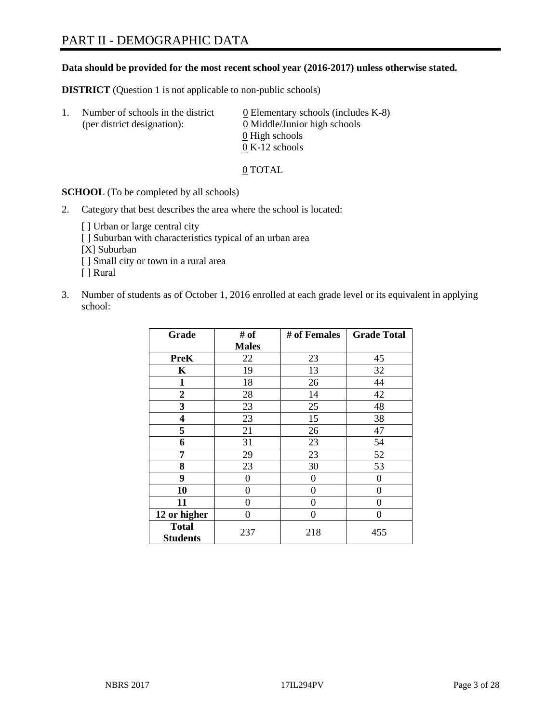#### **Data should be provided for the most recent school year (2016-2017) unless otherwise stated.**

**DISTRICT** (Question 1 is not applicable to non-public schools)

| -1. | Number of schools in the district<br>(per district designation): | $\underline{0}$ Elementary schools (includes K-8)<br>0 Middle/Junior high schools |  |
|-----|------------------------------------------------------------------|-----------------------------------------------------------------------------------|--|
|     |                                                                  | 0 High schools                                                                    |  |
|     |                                                                  | $0 K-12$ schools                                                                  |  |

0 TOTAL

**SCHOOL** (To be completed by all schools)

2. Category that best describes the area where the school is located:

[] Urban or large central city [ ] Suburban with characteristics typical of an urban area [X] Suburban [ ] Small city or town in a rural area [ ] Rural

3. Number of students as of October 1, 2016 enrolled at each grade level or its equivalent in applying school:

| Grade                           | # of         | # of Females | <b>Grade Total</b> |
|---------------------------------|--------------|--------------|--------------------|
|                                 | <b>Males</b> |              |                    |
| <b>PreK</b>                     | 22           | 23           | 45                 |
| K                               | 19           | 13           | 32                 |
| 1                               | 18           | 26           | 44                 |
| $\overline{2}$                  | 28           | 14           | 42                 |
| 3                               | 23           | 25           | 48                 |
| 4                               | 23           | 15           | 38                 |
| 5                               | 21           | 26           | 47                 |
| 6                               | 31           | 23           | 54                 |
| 7                               | 29           | 23           | 52                 |
| 8                               | 23           | 30           | 53                 |
| 9                               | 0            | 0            | $\Omega$           |
| 10                              | 0            | 0            | 0                  |
| 11                              | 0            | 0            | 0                  |
| 12 or higher                    | 0            | 0            | $\theta$           |
| <b>Total</b><br><b>Students</b> | 237          | 218          | 455                |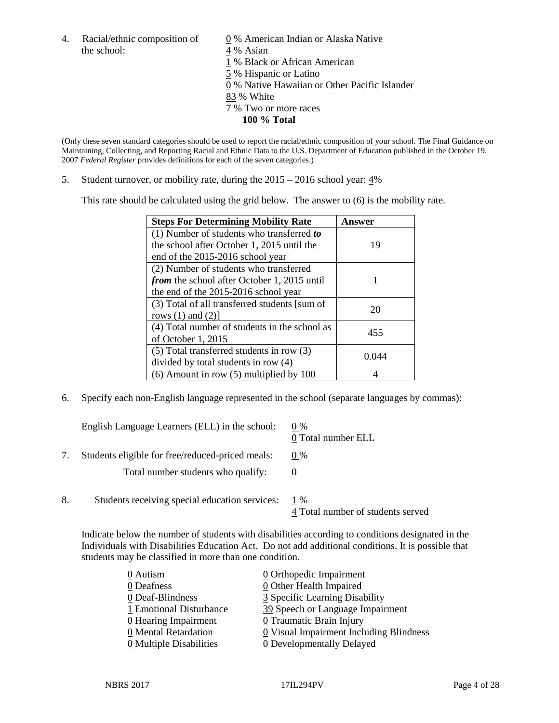4. Racial/ethnic composition of  $\qquad 0\%$  American Indian or Alaska Native the school: 4 % Asian

 % Black or African American % Hispanic or Latino % Native Hawaiian or Other Pacific Islander 83 % White % Two or more races **100 % Total**

(Only these seven standard categories should be used to report the racial/ethnic composition of your school. The Final Guidance on Maintaining, Collecting, and Reporting Racial and Ethnic Data to the U.S. Department of Education published in the October 19, 2007 *Federal Register* provides definitions for each of the seven categories.)

5. Student turnover, or mobility rate, during the 2015 – 2016 school year: 4%

This rate should be calculated using the grid below. The answer to (6) is the mobility rate.

| <b>Steps For Determining Mobility Rate</b>         | Answer |
|----------------------------------------------------|--------|
| $(1)$ Number of students who transferred to        |        |
| the school after October 1, 2015 until the         | 19     |
| end of the 2015-2016 school year                   |        |
| (2) Number of students who transferred             |        |
| <i>from</i> the school after October 1, 2015 until |        |
| the end of the 2015-2016 school year               |        |
| (3) Total of all transferred students [sum of      | 20     |
| rows $(1)$ and $(2)$ ]                             |        |
| (4) Total number of students in the school as      | 455    |
| of October 1, 2015                                 |        |
| (5) Total transferred students in row (3)          |        |
| divided by total students in row (4)               | 0 044  |
| $(6)$ Amount in row $(5)$ multiplied by 100        |        |

6. Specify each non-English language represented in the school (separate languages by commas):

|    | English Language Learners (ELL) in the school:   | $0\%$<br>0 Total number ELL              |
|----|--------------------------------------------------|------------------------------------------|
|    | Students eligible for free/reduced-priced meals: | $0\%$                                    |
|    | Total number students who qualify:               |                                          |
| 8. | Students receiving special education services:   | 1 %<br>4 Total number of students served |

Indicate below the number of students with disabilities according to conditions designated in the Individuals with Disabilities Education Act. Do not add additional conditions. It is possible that students may be classified in more than one condition.

| $\underline{0}$ Orthopedic Impairment     |
|-------------------------------------------|
| 0 Other Health Impaired                   |
| 3 Specific Learning Disability            |
| 39 Speech or Language Impairment          |
| 0 Traumatic Brain Injury                  |
| $Q$ Visual Impairment Including Blindness |
| <b>0</b> Developmentally Delayed          |
|                                           |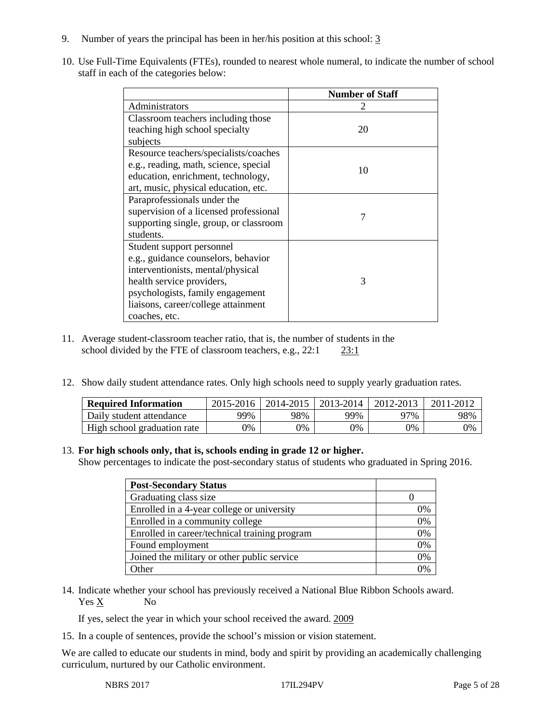- 9. Number of years the principal has been in her/his position at this school: 3
- 10. Use Full-Time Equivalents (FTEs), rounded to nearest whole numeral, to indicate the number of school staff in each of the categories below:

|                                        | <b>Number of Staff</b> |
|----------------------------------------|------------------------|
| Administrators                         |                        |
| Classroom teachers including those     |                        |
| teaching high school specialty         | 20                     |
| subjects                               |                        |
| Resource teachers/specialists/coaches  |                        |
| e.g., reading, math, science, special  | 10                     |
| education, enrichment, technology,     |                        |
| art, music, physical education, etc.   |                        |
| Paraprofessionals under the            |                        |
| supervision of a licensed professional |                        |
| supporting single, group, or classroom |                        |
| students.                              |                        |
| Student support personnel              |                        |
| e.g., guidance counselors, behavior    |                        |
| interventionists, mental/physical      |                        |
| health service providers,              | 3                      |
| psychologists, family engagement       |                        |
| liaisons, career/college attainment    |                        |
| coaches, etc.                          |                        |

- 11. Average student-classroom teacher ratio, that is, the number of students in the school divided by the FTE of classroom teachers, e.g., 22:1 23:1
- 12. Show daily student attendance rates. Only high schools need to supply yearly graduation rates.

| <b>Required Information</b> | $2015 - 2016$ |     | 2014-2015   2013-2014 | 2012-2013 | 2011-2012 |
|-----------------------------|---------------|-----|-----------------------|-----------|-----------|
| Daily student attendance    | 99%           | 98% | 99%                   | 97%       | 98%       |
| High school graduation rate | 9%            | 0%  | 0%                    | 9%        | 0%        |

#### 13. **For high schools only, that is, schools ending in grade 12 or higher.**

Show percentages to indicate the post-secondary status of students who graduated in Spring 2016.

| <b>Post-Secondary Status</b>                  |    |
|-----------------------------------------------|----|
| Graduating class size                         |    |
| Enrolled in a 4-year college or university    | 0% |
| Enrolled in a community college               | 0% |
| Enrolled in career/technical training program | 0% |
| Found employment                              | 0% |
| Joined the military or other public service   | 0% |
| <b>Other</b>                                  | በ% |

14. Indicate whether your school has previously received a National Blue Ribbon Schools award. Yes X No

If yes, select the year in which your school received the award. 2009

15. In a couple of sentences, provide the school's mission or vision statement.

We are called to educate our students in mind, body and spirit by providing an academically challenging curriculum, nurtured by our Catholic environment.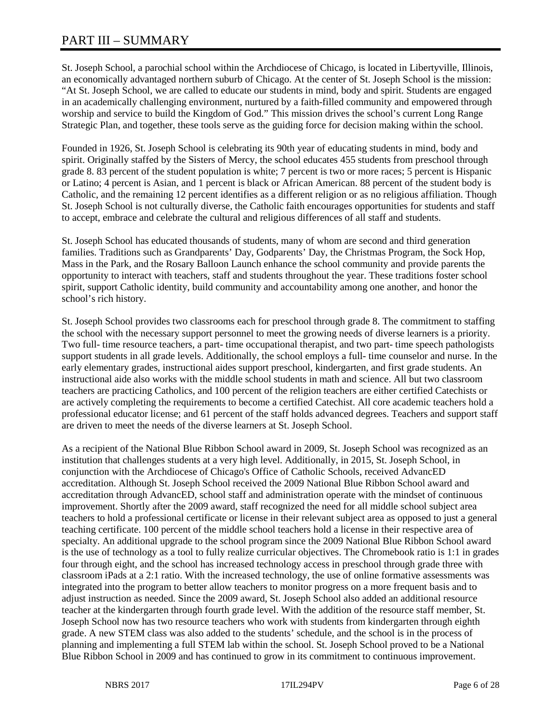St. Joseph School, a parochial school within the Archdiocese of Chicago, is located in Libertyville, Illinois, an economically advantaged northern suburb of Chicago. At the center of St. Joseph School is the mission: "At St. Joseph School, we are called to educate our students in mind, body and spirit. Students are engaged in an academically challenging environment, nurtured by a faith-filled community and empowered through worship and service to build the Kingdom of God." This mission drives the school's current Long Range Strategic Plan, and together, these tools serve as the guiding force for decision making within the school.

Founded in 1926, St. Joseph School is celebrating its 90th year of educating students in mind, body and spirit. Originally staffed by the Sisters of Mercy, the school educates 455 students from preschool through grade 8. 83 percent of the student population is white; 7 percent is two or more races; 5 percent is Hispanic or Latino; 4 percent is Asian, and 1 percent is black or African American. 88 percent of the student body is Catholic, and the remaining 12 percent identifies as a different religion or as no religious affiliation. Though St. Joseph School is not culturally diverse, the Catholic faith encourages opportunities for students and staff to accept, embrace and celebrate the cultural and religious differences of all staff and students.

St. Joseph School has educated thousands of students, many of whom are second and third generation families. Traditions such as Grandparents' Day, Godparents' Day, the Christmas Program, the Sock Hop, Mass in the Park, and the Rosary Balloon Launch enhance the school community and provide parents the opportunity to interact with teachers, staff and students throughout the year. These traditions foster school spirit, support Catholic identity, build community and accountability among one another, and honor the school's rich history.

St. Joseph School provides two classrooms each for preschool through grade 8. The commitment to staffing the school with the necessary support personnel to meet the growing needs of diverse learners is a priority. Two full- time resource teachers, a part- time occupational therapist, and two part- time speech pathologists support students in all grade levels. Additionally, the school employs a full- time counselor and nurse. In the early elementary grades, instructional aides support preschool, kindergarten, and first grade students. An instructional aide also works with the middle school students in math and science. All but two classroom teachers are practicing Catholics, and 100 percent of the religion teachers are either certified Catechists or are actively completing the requirements to become a certified Catechist. All core academic teachers hold a professional educator license; and 61 percent of the staff holds advanced degrees. Teachers and support staff are driven to meet the needs of the diverse learners at St. Joseph School.

As a recipient of the National Blue Ribbon School award in 2009, St. Joseph School was recognized as an institution that challenges students at a very high level. Additionally, in 2015, St. Joseph School, in conjunction with the Archdiocese of Chicago's Office of Catholic Schools, received AdvancED accreditation. Although St. Joseph School received the 2009 National Blue Ribbon School award and accreditation through AdvancED, school staff and administration operate with the mindset of continuous improvement. Shortly after the 2009 award, staff recognized the need for all middle school subject area teachers to hold a professional certificate or license in their relevant subject area as opposed to just a general teaching certificate. 100 percent of the middle school teachers hold a license in their respective area of specialty. An additional upgrade to the school program since the 2009 National Blue Ribbon School award is the use of technology as a tool to fully realize curricular objectives. The Chromebook ratio is 1:1 in grades four through eight, and the school has increased technology access in preschool through grade three with classroom iPads at a 2:1 ratio. With the increased technology, the use of online formative assessments was integrated into the program to better allow teachers to monitor progress on a more frequent basis and to adjust instruction as needed. Since the 2009 award, St. Joseph School also added an additional resource teacher at the kindergarten through fourth grade level. With the addition of the resource staff member, St. Joseph School now has two resource teachers who work with students from kindergarten through eighth grade. A new STEM class was also added to the students' schedule, and the school is in the process of planning and implementing a full STEM lab within the school. St. Joseph School proved to be a National Blue Ribbon School in 2009 and has continued to grow in its commitment to continuous improvement.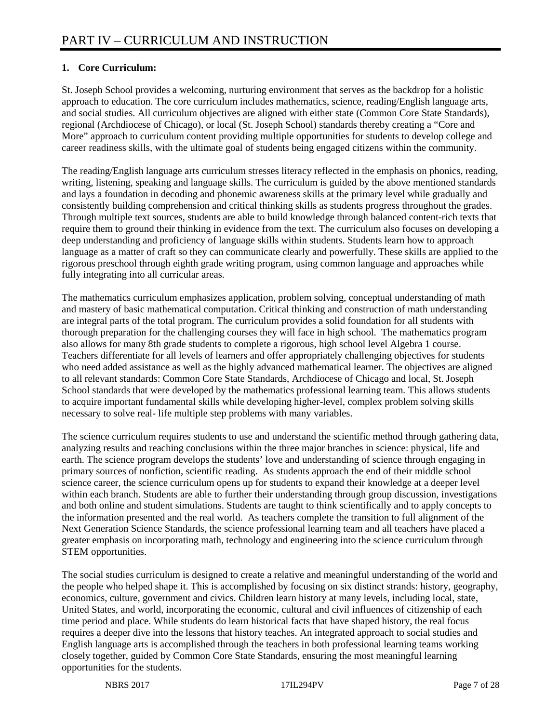## **1. Core Curriculum:**

St. Joseph School provides a welcoming, nurturing environment that serves as the backdrop for a holistic approach to education. The core curriculum includes mathematics, science, reading/English language arts, and social studies. All curriculum objectives are aligned with either state (Common Core State Standards), regional (Archdiocese of Chicago), or local (St. Joseph School) standards thereby creating a "Core and More" approach to curriculum content providing multiple opportunities for students to develop college and career readiness skills, with the ultimate goal of students being engaged citizens within the community.

The reading/English language arts curriculum stresses literacy reflected in the emphasis on phonics, reading, writing, listening, speaking and language skills. The curriculum is guided by the above mentioned standards and lays a foundation in decoding and phonemic awareness skills at the primary level while gradually and consistently building comprehension and critical thinking skills as students progress throughout the grades. Through multiple text sources, students are able to build knowledge through balanced content-rich texts that require them to ground their thinking in evidence from the text. The curriculum also focuses on developing a deep understanding and proficiency of language skills within students. Students learn how to approach language as a matter of craft so they can communicate clearly and powerfully. These skills are applied to the rigorous preschool through eighth grade writing program, using common language and approaches while fully integrating into all curricular areas.

The mathematics curriculum emphasizes application, problem solving, conceptual understanding of math and mastery of basic mathematical computation. Critical thinking and construction of math understanding are integral parts of the total program. The curriculum provides a solid foundation for all students with thorough preparation for the challenging courses they will face in high school. The mathematics program also allows for many 8th grade students to complete a rigorous, high school level Algebra 1 course. Teachers differentiate for all levels of learners and offer appropriately challenging objectives for students who need added assistance as well as the highly advanced mathematical learner. The objectives are aligned to all relevant standards: Common Core State Standards, Archdiocese of Chicago and local, St. Joseph School standards that were developed by the mathematics professional learning team. This allows students to acquire important fundamental skills while developing higher-level, complex problem solving skills necessary to solve real- life multiple step problems with many variables.

The science curriculum requires students to use and understand the scientific method through gathering data, analyzing results and reaching conclusions within the three major branches in science: physical, life and earth. The science program develops the students' love and understanding of science through engaging in primary sources of nonfiction, scientific reading. As students approach the end of their middle school science career, the science curriculum opens up for students to expand their knowledge at a deeper level within each branch. Students are able to further their understanding through group discussion, investigations and both online and student simulations. Students are taught to think scientifically and to apply concepts to the information presented and the real world. As teachers complete the transition to full alignment of the Next Generation Science Standards, the science professional learning team and all teachers have placed a greater emphasis on incorporating math, technology and engineering into the science curriculum through STEM opportunities.

The social studies curriculum is designed to create a relative and meaningful understanding of the world and the people who helped shape it. This is accomplished by focusing on six distinct strands: history, geography, economics, culture, government and civics. Children learn history at many levels, including local, state, United States, and world, incorporating the economic, cultural and civil influences of citizenship of each time period and place. While students do learn historical facts that have shaped history, the real focus requires a deeper dive into the lessons that history teaches. An integrated approach to social studies and English language arts is accomplished through the teachers in both professional learning teams working closely together, guided by Common Core State Standards, ensuring the most meaningful learning opportunities for the students.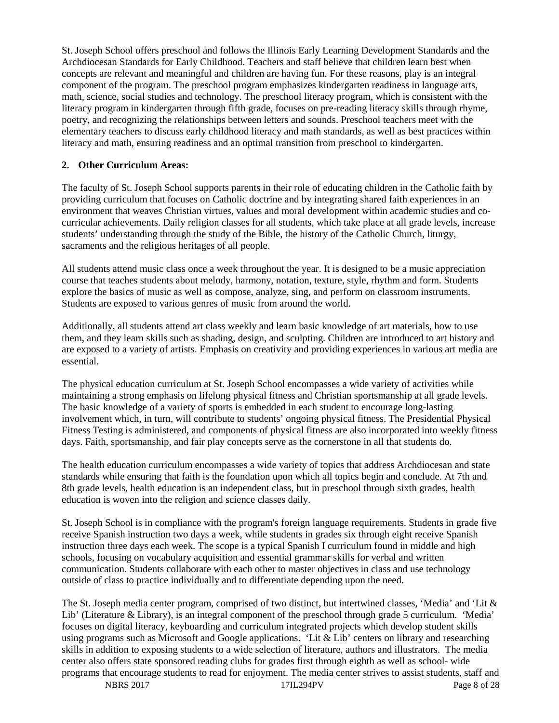St. Joseph School offers preschool and follows the Illinois Early Learning Development Standards and the Archdiocesan Standards for Early Childhood. Teachers and staff believe that children learn best when concepts are relevant and meaningful and children are having fun. For these reasons, play is an integral component of the program. The preschool program emphasizes kindergarten readiness in language arts, math, science, social studies and technology. The preschool literacy program, which is consistent with the literacy program in kindergarten through fifth grade, focuses on pre-reading literacy skills through rhyme, poetry, and recognizing the relationships between letters and sounds. Preschool teachers meet with the elementary teachers to discuss early childhood literacy and math standards, as well as best practices within literacy and math, ensuring readiness and an optimal transition from preschool to kindergarten.

#### **2. Other Curriculum Areas:**

The faculty of St. Joseph School supports parents in their role of educating children in the Catholic faith by providing curriculum that focuses on Catholic doctrine and by integrating shared faith experiences in an environment that weaves Christian virtues, values and moral development within academic studies and cocurricular achievements. Daily religion classes for all students, which take place at all grade levels, increase students' understanding through the study of the Bible, the history of the Catholic Church, liturgy, sacraments and the religious heritages of all people.

All students attend music class once a week throughout the year. It is designed to be a music appreciation course that teaches students about melody, harmony, notation, texture, style, rhythm and form. Students explore the basics of music as well as compose, analyze, sing, and perform on classroom instruments. Students are exposed to various genres of music from around the world.

Additionally, all students attend art class weekly and learn basic knowledge of art materials, how to use them, and they learn skills such as shading, design, and sculpting. Children are introduced to art history and are exposed to a variety of artists. Emphasis on creativity and providing experiences in various art media are essential.

The physical education curriculum at St. Joseph School encompasses a wide variety of activities while maintaining a strong emphasis on lifelong physical fitness and Christian sportsmanship at all grade levels. The basic knowledge of a variety of sports is embedded in each student to encourage long-lasting involvement which, in turn, will contribute to students' ongoing physical fitness. The Presidential Physical Fitness Testing is administered, and components of physical fitness are also incorporated into weekly fitness days. Faith, sportsmanship, and fair play concepts serve as the cornerstone in all that students do.

The health education curriculum encompasses a wide variety of topics that address Archdiocesan and state standards while ensuring that faith is the foundation upon which all topics begin and conclude. At 7th and 8th grade levels, health education is an independent class, but in preschool through sixth grades, health education is woven into the religion and science classes daily.

St. Joseph School is in compliance with the program's foreign language requirements. Students in grade five receive Spanish instruction two days a week, while students in grades six through eight receive Spanish instruction three days each week. The scope is a typical Spanish I curriculum found in middle and high schools, focusing on vocabulary acquisition and essential grammar skills for verbal and written communication. Students collaborate with each other to master objectives in class and use technology outside of class to practice individually and to differentiate depending upon the need.

The St. Joseph media center program, comprised of two distinct, but intertwined classes, 'Media' and 'Lit & Lib' (Literature & Library), is an integral component of the preschool through grade 5 curriculum. 'Media' focuses on digital literacy, keyboarding and curriculum integrated projects which develop student skills using programs such as Microsoft and Google applications. 'Lit  $\&$  Lib' centers on library and researching skills in addition to exposing students to a wide selection of literature, authors and illustrators. The media center also offers state sponsored reading clubs for grades first through eighth as well as school- wide programs that encourage students to read for enjoyment. The media center strives to assist students, staff and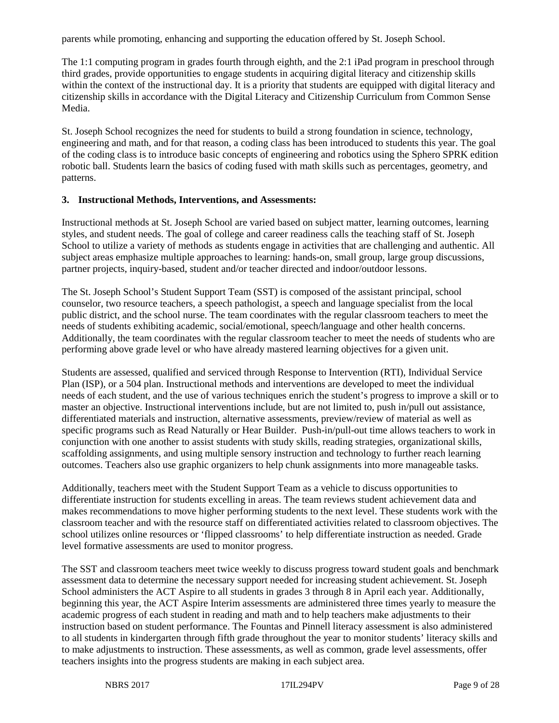parents while promoting, enhancing and supporting the education offered by St. Joseph School.

The 1:1 computing program in grades fourth through eighth, and the 2:1 iPad program in preschool through third grades, provide opportunities to engage students in acquiring digital literacy and citizenship skills within the context of the instructional day. It is a priority that students are equipped with digital literacy and citizenship skills in accordance with the Digital Literacy and Citizenship Curriculum from Common Sense Media.

St. Joseph School recognizes the need for students to build a strong foundation in science, technology, engineering and math, and for that reason, a coding class has been introduced to students this year. The goal of the coding class is to introduce basic concepts of engineering and robotics using the Sphero SPRK edition robotic ball. Students learn the basics of coding fused with math skills such as percentages, geometry, and patterns.

#### **3. Instructional Methods, Interventions, and Assessments:**

Instructional methods at St. Joseph School are varied based on subject matter, learning outcomes, learning styles, and student needs. The goal of college and career readiness calls the teaching staff of St. Joseph School to utilize a variety of methods as students engage in activities that are challenging and authentic. All subject areas emphasize multiple approaches to learning: hands-on, small group, large group discussions, partner projects, inquiry-based, student and/or teacher directed and indoor/outdoor lessons.

The St. Joseph School's Student Support Team (SST) is composed of the assistant principal, school counselor, two resource teachers, a speech pathologist, a speech and language specialist from the local public district, and the school nurse. The team coordinates with the regular classroom teachers to meet the needs of students exhibiting academic, social/emotional, speech/language and other health concerns. Additionally, the team coordinates with the regular classroom teacher to meet the needs of students who are performing above grade level or who have already mastered learning objectives for a given unit.

Students are assessed, qualified and serviced through Response to Intervention (RTI), Individual Service Plan (ISP), or a 504 plan. Instructional methods and interventions are developed to meet the individual needs of each student, and the use of various techniques enrich the student's progress to improve a skill or to master an objective. Instructional interventions include, but are not limited to, push in/pull out assistance, differentiated materials and instruction, alternative assessments, preview/review of material as well as specific programs such as Read Naturally or Hear Builder. Push-in/pull-out time allows teachers to work in conjunction with one another to assist students with study skills, reading strategies, organizational skills, scaffolding assignments, and using multiple sensory instruction and technology to further reach learning outcomes. Teachers also use graphic organizers to help chunk assignments into more manageable tasks.

Additionally, teachers meet with the Student Support Team as a vehicle to discuss opportunities to differentiate instruction for students excelling in areas. The team reviews student achievement data and makes recommendations to move higher performing students to the next level. These students work with the classroom teacher and with the resource staff on differentiated activities related to classroom objectives. The school utilizes online resources or 'flipped classrooms' to help differentiate instruction as needed. Grade level formative assessments are used to monitor progress.

The SST and classroom teachers meet twice weekly to discuss progress toward student goals and benchmark assessment data to determine the necessary support needed for increasing student achievement. St. Joseph School administers the ACT Aspire to all students in grades 3 through 8 in April each year. Additionally, beginning this year, the ACT Aspire Interim assessments are administered three times yearly to measure the academic progress of each student in reading and math and to help teachers make adjustments to their instruction based on student performance. The Fountas and Pinnell literacy assessment is also administered to all students in kindergarten through fifth grade throughout the year to monitor students' literacy skills and to make adjustments to instruction. These assessments, as well as common, grade level assessments, offer teachers insights into the progress students are making in each subject area.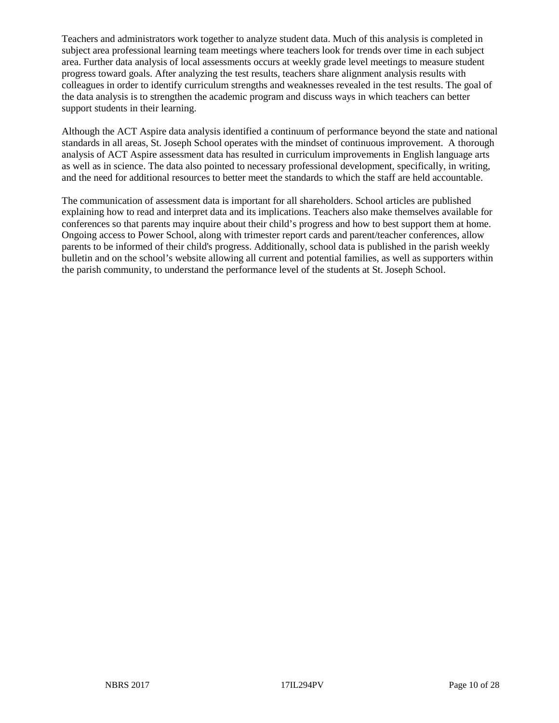Teachers and administrators work together to analyze student data. Much of this analysis is completed in subject area professional learning team meetings where teachers look for trends over time in each subject area. Further data analysis of local assessments occurs at weekly grade level meetings to measure student progress toward goals. After analyzing the test results, teachers share alignment analysis results with colleagues in order to identify curriculum strengths and weaknesses revealed in the test results. The goal of the data analysis is to strengthen the academic program and discuss ways in which teachers can better support students in their learning.

Although the ACT Aspire data analysis identified a continuum of performance beyond the state and national standards in all areas, St. Joseph School operates with the mindset of continuous improvement. A thorough analysis of ACT Aspire assessment data has resulted in curriculum improvements in English language arts as well as in science. The data also pointed to necessary professional development, specifically, in writing, and the need for additional resources to better meet the standards to which the staff are held accountable.

The communication of assessment data is important for all shareholders. School articles are published explaining how to read and interpret data and its implications. Teachers also make themselves available for conferences so that parents may inquire about their child's progress and how to best support them at home. Ongoing access to Power School, along with trimester report cards and parent/teacher conferences, allow parents to be informed of their child's progress. Additionally, school data is published in the parish weekly bulletin and on the school's website allowing all current and potential families, as well as supporters within the parish community, to understand the performance level of the students at St. Joseph School.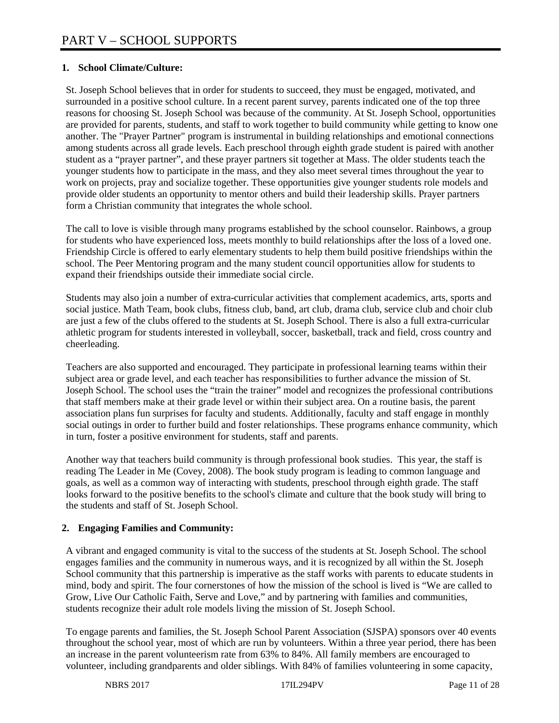#### **1. School Climate/Culture:**

St. Joseph School believes that in order for students to succeed, they must be engaged, motivated, and surrounded in a positive school culture. In a recent parent survey, parents indicated one of the top three reasons for choosing St. Joseph School was because of the community. At St. Joseph School, opportunities are provided for parents, students, and staff to work together to build community while getting to know one another. The "Prayer Partner" program is instrumental in building relationships and emotional connections among students across all grade levels. Each preschool through eighth grade student is paired with another student as a "prayer partner", and these prayer partners sit together at Mass. The older students teach the younger students how to participate in the mass, and they also meet several times throughout the year to work on projects, pray and socialize together. These opportunities give younger students role models and provide older students an opportunity to mentor others and build their leadership skills. Prayer partners form a Christian community that integrates the whole school.

The call to love is visible through many programs established by the school counselor. Rainbows, a group for students who have experienced loss, meets monthly to build relationships after the loss of a loved one. Friendship Circle is offered to early elementary students to help them build positive friendships within the school. The Peer Mentoring program and the many student council opportunities allow for students to expand their friendships outside their immediate social circle.

Students may also join a number of extra-curricular activities that complement academics, arts, sports and social justice. Math Team, book clubs, fitness club, band, art club, drama club, service club and choir club are just a few of the clubs offered to the students at St. Joseph School. There is also a full extra-curricular athletic program for students interested in volleyball, soccer, basketball, track and field, cross country and cheerleading.

Teachers are also supported and encouraged. They participate in professional learning teams within their subject area or grade level, and each teacher has responsibilities to further advance the mission of St. Joseph School. The school uses the "train the trainer" model and recognizes the professional contributions that staff members make at their grade level or within their subject area. On a routine basis, the parent association plans fun surprises for faculty and students. Additionally, faculty and staff engage in monthly social outings in order to further build and foster relationships. These programs enhance community, which in turn, foster a positive environment for students, staff and parents.

Another way that teachers build community is through professional book studies. This year, the staff is reading The Leader in Me (Covey, 2008). The book study program is leading to common language and goals, as well as a common way of interacting with students, preschool through eighth grade. The staff looks forward to the positive benefits to the school's climate and culture that the book study will bring to the students and staff of St. Joseph School.

#### **2. Engaging Families and Community:**

A vibrant and engaged community is vital to the success of the students at St. Joseph School. The school engages families and the community in numerous ways, and it is recognized by all within the St. Joseph School community that this partnership is imperative as the staff works with parents to educate students in mind, body and spirit. The four cornerstones of how the mission of the school is lived is "We are called to Grow, Live Our Catholic Faith, Serve and Love," and by partnering with families and communities, students recognize their adult role models living the mission of St. Joseph School.

To engage parents and families, the St. Joseph School Parent Association (SJSPA) sponsors over 40 events throughout the school year, most of which are run by volunteers. Within a three year period, there has been an increase in the parent volunteerism rate from 63% to 84%. All family members are encouraged to volunteer, including grandparents and older siblings. With 84% of families volunteering in some capacity,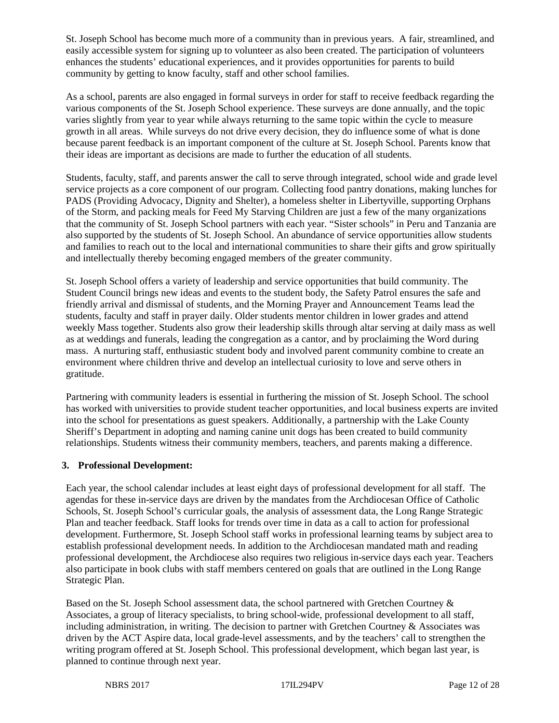St. Joseph School has become much more of a community than in previous years. A fair, streamlined, and easily accessible system for signing up to volunteer as also been created. The participation of volunteers enhances the students' educational experiences, and it provides opportunities for parents to build community by getting to know faculty, staff and other school families.

As a school, parents are also engaged in formal surveys in order for staff to receive feedback regarding the various components of the St. Joseph School experience. These surveys are done annually, and the topic varies slightly from year to year while always returning to the same topic within the cycle to measure growth in all areas. While surveys do not drive every decision, they do influence some of what is done because parent feedback is an important component of the culture at St. Joseph School. Parents know that their ideas are important as decisions are made to further the education of all students.

Students, faculty, staff, and parents answer the call to serve through integrated, school wide and grade level service projects as a core component of our program. Collecting food pantry donations, making lunches for PADS (Providing Advocacy, Dignity and Shelter), a homeless shelter in Libertyville, supporting Orphans of the Storm, and packing meals for Feed My Starving Children are just a few of the many organizations that the community of St. Joseph School partners with each year. "Sister schools" in Peru and Tanzania are also supported by the students of St. Joseph School. An abundance of service opportunities allow students and families to reach out to the local and international communities to share their gifts and grow spiritually and intellectually thereby becoming engaged members of the greater community.

St. Joseph School offers a variety of leadership and service opportunities that build community. The Student Council brings new ideas and events to the student body, the Safety Patrol ensures the safe and friendly arrival and dismissal of students, and the Morning Prayer and Announcement Teams lead the students, faculty and staff in prayer daily. Older students mentor children in lower grades and attend weekly Mass together. Students also grow their leadership skills through altar serving at daily mass as well as at weddings and funerals, leading the congregation as a cantor, and by proclaiming the Word during mass. A nurturing staff, enthusiastic student body and involved parent community combine to create an environment where children thrive and develop an intellectual curiosity to love and serve others in gratitude.

Partnering with community leaders is essential in furthering the mission of St. Joseph School. The school has worked with universities to provide student teacher opportunities, and local business experts are invited into the school for presentations as guest speakers. Additionally, a partnership with the Lake County Sheriff's Department in adopting and naming canine unit dogs has been created to build community relationships. Students witness their community members, teachers, and parents making a difference.

#### **3. Professional Development:**

Each year, the school calendar includes at least eight days of professional development for all staff. The agendas for these in-service days are driven by the mandates from the Archdiocesan Office of Catholic Schools, St. Joseph School's curricular goals, the analysis of assessment data, the Long Range Strategic Plan and teacher feedback. Staff looks for trends over time in data as a call to action for professional development. Furthermore, St. Joseph School staff works in professional learning teams by subject area to establish professional development needs. In addition to the Archdiocesan mandated math and reading professional development, the Archdiocese also requires two religious in-service days each year. Teachers also participate in book clubs with staff members centered on goals that are outlined in the Long Range Strategic Plan.

Based on the St. Joseph School assessment data, the school partnered with Gretchen Courtney & Associates, a group of literacy specialists, to bring school-wide, professional development to all staff, including administration, in writing. The decision to partner with Gretchen Courtney & Associates was driven by the ACT Aspire data, local grade-level assessments, and by the teachers' call to strengthen the writing program offered at St. Joseph School. This professional development, which began last year, is planned to continue through next year.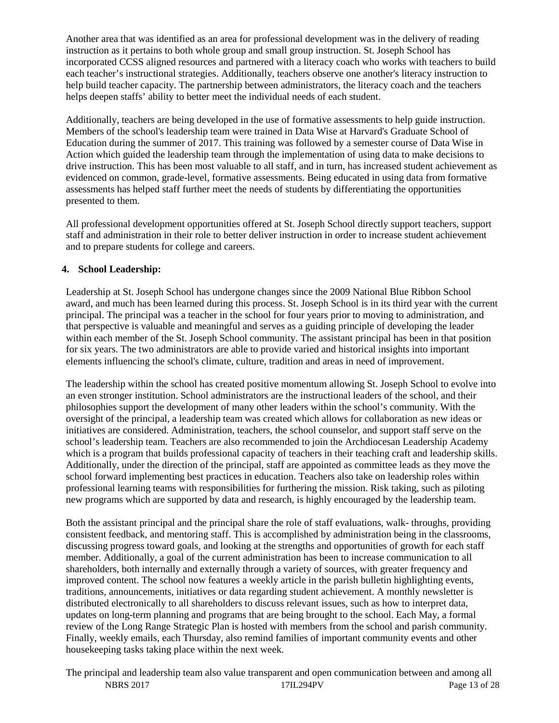Another area that was identified as an area for professional development was in the delivery of reading instruction as it pertains to both whole group and small group instruction. St. Joseph School has incorporated CCSS aligned resources and partnered with a literacy coach who works with teachers to build each teacher's instructional strategies. Additionally, teachers observe one another's literacy instruction to help build teacher capacity. The partnership between administrators, the literacy coach and the teachers helps deepen staffs' ability to better meet the individual needs of each student.

Additionally, teachers are being developed in the use of formative assessments to help guide instruction. Members of the school's leadership team were trained in Data Wise at Harvard's Graduate School of Education during the summer of 2017. This training was followed by a semester course of Data Wise in Action which guided the leadership team through the implementation of using data to make decisions to drive instruction. This has been most valuable to all staff, and in turn, has increased student achievement as evidenced on common, grade-level, formative assessments. Being educated in using data from formative assessments has helped staff further meet the needs of students by differentiating the opportunities presented to them.

All professional development opportunities offered at St. Joseph School directly support teachers, support staff and administration in their role to better deliver instruction in order to increase student achievement and to prepare students for college and careers.

#### **4. School Leadership:**

Leadership at St. Joseph School has undergone changes since the 2009 National Blue Ribbon School award, and much has been learned during this process. St. Joseph School is in its third year with the current principal. The principal was a teacher in the school for four years prior to moving to administration, and that perspective is valuable and meaningful and serves as a guiding principle of developing the leader within each member of the St. Joseph School community. The assistant principal has been in that position for six years. The two administrators are able to provide varied and historical insights into important elements influencing the school's climate, culture, tradition and areas in need of improvement.

The leadership within the school has created positive momentum allowing St. Joseph School to evolve into an even stronger institution. School administrators are the instructional leaders of the school, and their philosophies support the development of many other leaders within the school's community. With the oversight of the principal, a leadership team was created which allows for collaboration as new ideas or initiatives are considered. Administration, teachers, the school counselor, and support staff serve on the school's leadership team. Teachers are also recommended to join the Archdiocesan Leadership Academy which is a program that builds professional capacity of teachers in their teaching craft and leadership skills. Additionally, under the direction of the principal, staff are appointed as committee leads as they move the school forward implementing best practices in education. Teachers also take on leadership roles within professional learning teams with responsibilities for furthering the mission. Risk taking, such as piloting new programs which are supported by data and research, is highly encouraged by the leadership team.

Both the assistant principal and the principal share the role of staff evaluations, walk- throughs, providing consistent feedback, and mentoring staff. This is accomplished by administration being in the classrooms, discussing progress toward goals, and looking at the strengths and opportunities of growth for each staff member. Additionally, a goal of the current administration has been to increase communication to all shareholders, both internally and externally through a variety of sources, with greater frequency and improved content. The school now features a weekly article in the parish bulletin highlighting events, traditions, announcements, initiatives or data regarding student achievement. A monthly newsletter is distributed electronically to all shareholders to discuss relevant issues, such as how to interpret data, updates on long-term planning and programs that are being brought to the school. Each May, a formal review of the Long Range Strategic Plan is hosted with members from the school and parish community. Finally, weekly emails, each Thursday, also remind families of important community events and other housekeeping tasks taking place within the next week.

NBRS 2017 17IL294PV Page 13 of 28 The principal and leadership team also value transparent and open communication between and among all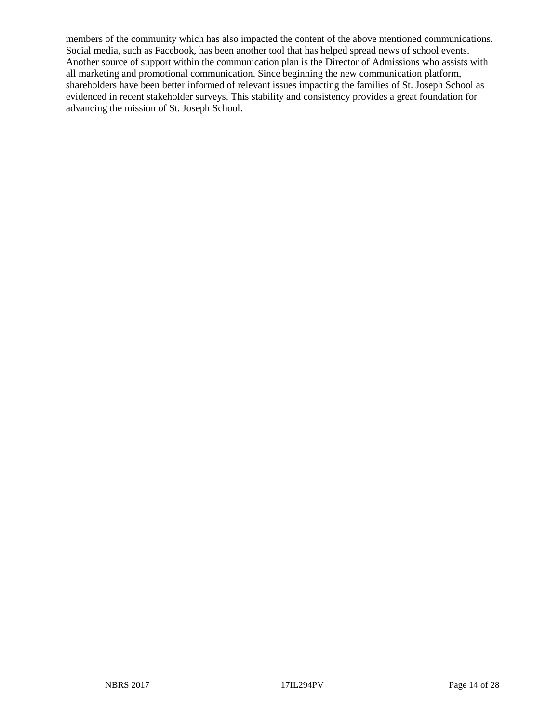members of the community which has also impacted the content of the above mentioned communications. Social media, such as Facebook, has been another tool that has helped spread news of school events. Another source of support within the communication plan is the Director of Admissions who assists with all marketing and promotional communication. Since beginning the new communication platform, shareholders have been better informed of relevant issues impacting the families of St. Joseph School as evidenced in recent stakeholder surveys. This stability and consistency provides a great foundation for advancing the mission of St. Joseph School.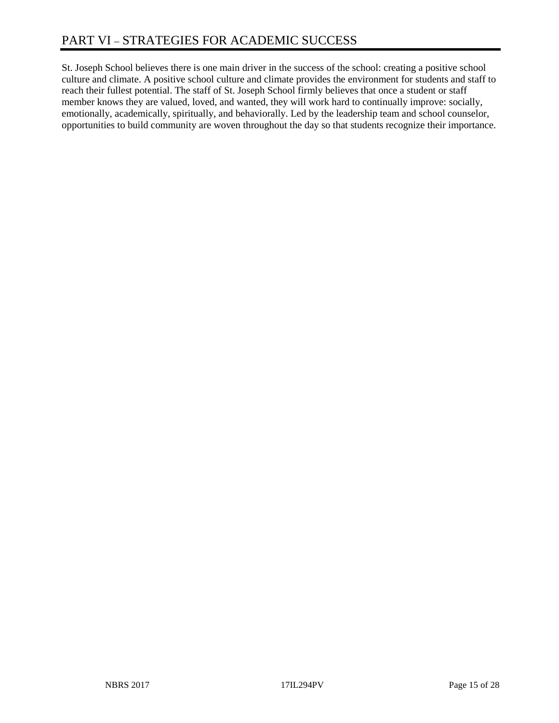St. Joseph School believes there is one main driver in the success of the school: creating a positive school culture and climate. A positive school culture and climate provides the environment for students and staff to reach their fullest potential. The staff of St. Joseph School firmly believes that once a student or staff member knows they are valued, loved, and wanted, they will work hard to continually improve: socially, emotionally, academically, spiritually, and behaviorally. Led by the leadership team and school counselor, opportunities to build community are woven throughout the day so that students recognize their importance.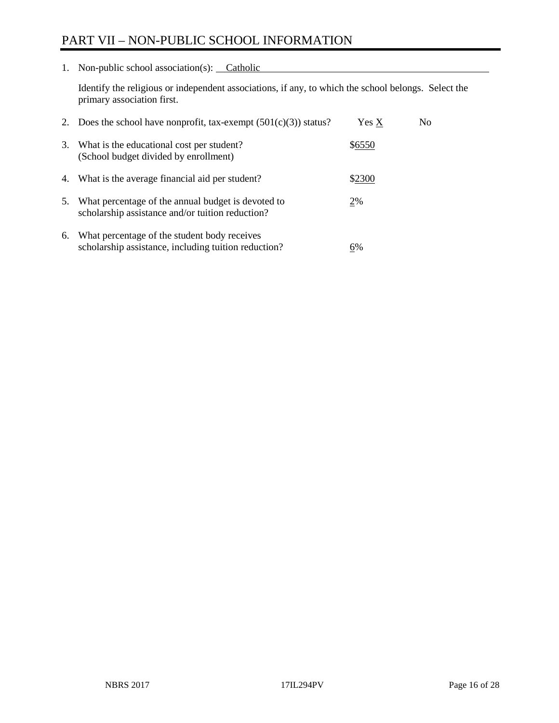# PART VII – NON-PUBLIC SCHOOL INFORMATION

1. Non-public school association(s): Catholic

Identify the religious or independent associations, if any, to which the school belongs. Select the primary association first.

| 2. | Does the school have nonprofit, tax-exempt $(501(c)(3))$ status?                                       | Yes X  | No. |
|----|--------------------------------------------------------------------------------------------------------|--------|-----|
| 3. | What is the educational cost per student?<br>(School budget divided by enrollment)                     | \$6550 |     |
| 4. | What is the average financial aid per student?                                                         | \$2300 |     |
| 5. | What percentage of the annual budget is devoted to<br>scholarship assistance and/or tuition reduction? | 2%     |     |
| 6. | What percentage of the student body receives<br>scholarship assistance, including tuition reduction?   | 6%     |     |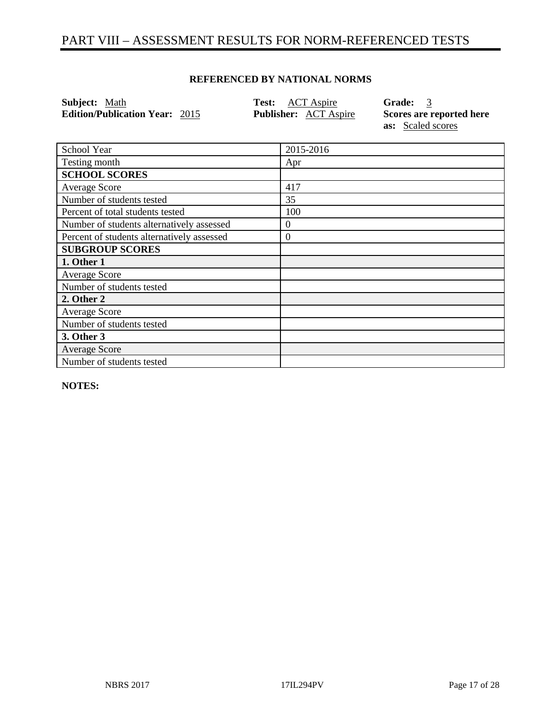## PART VIII – ASSESSMENT RESULTS FOR NORM-REFERENCED TESTS

#### **REFERENCED BY NATIONAL NORMS**

| <b>Subject:</b> Math                  | <b>Test:</b> ACT Aspire      | Grade: 3                 |
|---------------------------------------|------------------------------|--------------------------|
| <b>Edition/Publication Year: 2015</b> | <b>Publisher:</b> ACT Aspire | Scores are reported here |
|                                       |                              | <b>as:</b> Scaled scores |

| School Year                                | 2015-2016        |
|--------------------------------------------|------------------|
| Testing month                              | Apr              |
| <b>SCHOOL SCORES</b>                       |                  |
| Average Score                              | 417              |
| Number of students tested                  | 35               |
| Percent of total students tested           | 100              |
| Number of students alternatively assessed  | $\boldsymbol{0}$ |
| Percent of students alternatively assessed | $\boldsymbol{0}$ |
| <b>SUBGROUP SCORES</b>                     |                  |
| 1. Other 1                                 |                  |
| <b>Average Score</b>                       |                  |
| Number of students tested                  |                  |
| 2. Other 2                                 |                  |
| Average Score                              |                  |
| Number of students tested                  |                  |
| 3. Other 3                                 |                  |
| <b>Average Score</b>                       |                  |
| Number of students tested                  |                  |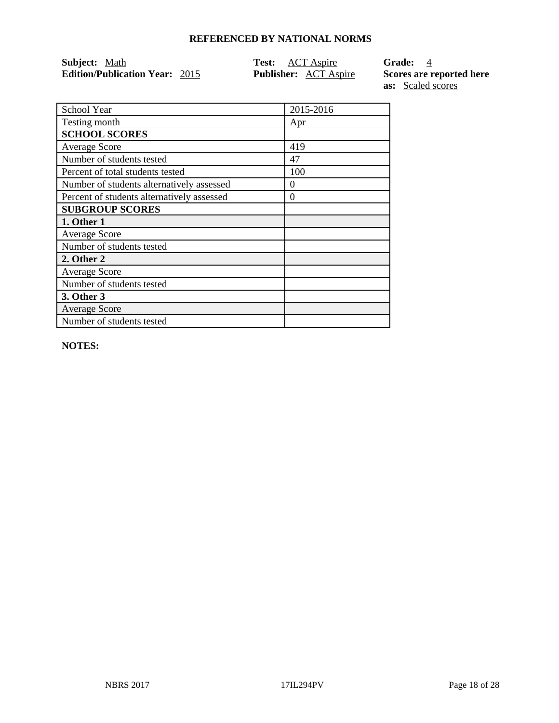| Subject: Math                         | <b>Test:</b> ACT Aspire      | <b>Grade:</b> 4          |
|---------------------------------------|------------------------------|--------------------------|
| <b>Edition/Publication Year: 2015</b> | <b>Publisher:</b> ACT Aspire | Scores are reported here |
|                                       |                              | <b>as:</b> Scaled scores |

| School Year                                | 2015-2016 |
|--------------------------------------------|-----------|
| Testing month                              | Apr       |
| <b>SCHOOL SCORES</b>                       |           |
| <b>Average Score</b>                       | 419       |
| Number of students tested                  | 47        |
| Percent of total students tested           | 100       |
| Number of students alternatively assessed  | $\theta$  |
| Percent of students alternatively assessed | $\theta$  |
| <b>SUBGROUP SCORES</b>                     |           |
| 1. Other 1                                 |           |
| <b>Average Score</b>                       |           |
| Number of students tested                  |           |
| 2. Other 2                                 |           |
| <b>Average Score</b>                       |           |
| Number of students tested                  |           |
| 3. Other 3                                 |           |
| <b>Average Score</b>                       |           |
| Number of students tested                  |           |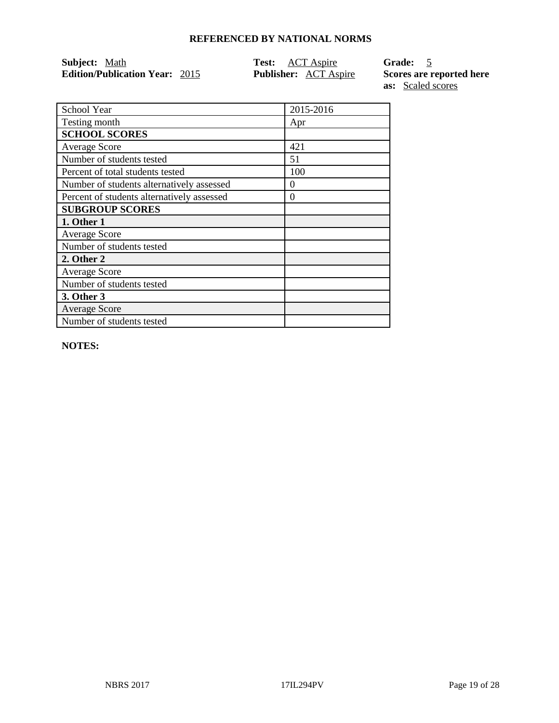| Subject: Math                         | <b>Test:</b> ACT Aspire      | Grade: 5                 |
|---------------------------------------|------------------------------|--------------------------|
| <b>Edition/Publication Year: 2015</b> | <b>Publisher:</b> ACT Aspire | Scores are reported here |
|                                       |                              | <b>as:</b> Scaled scores |

School Year 2015-2016 Testing month Apr **SCHOOL SCORES** Average Score 1421 Number of students tested 51 Percent of total students tested 100 Number of students alternatively assessed 0 Percent of students alternatively assessed 0 **SUBGROUP SCORES 1. Other 1** Average Score Number of students tested **2. Other 2** Average Score Number of students tested **3. Other 3** Average Score Number of students tested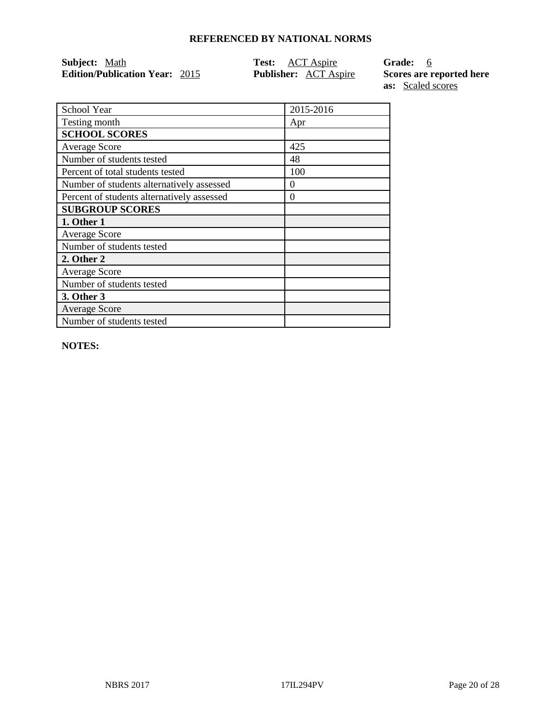| Subject: Math                         | <b>Test:</b> ACT Aspire      | Grade: 6                 |
|---------------------------------------|------------------------------|--------------------------|
| <b>Edition/Publication Year: 2015</b> | <b>Publisher:</b> ACT Aspire | Scores are reported here |
|                                       |                              | <b>as:</b> Scaled scores |

School Year 2015-2016 Testing month Apr **SCHOOL SCORES** Average Score 25 Number of students tested 48 Percent of total students tested 100 Number of students alternatively assessed 0 Percent of students alternatively assessed 0 **SUBGROUP SCORES 1. Other 1** Average Score Number of students tested **2. Other 2** Average Score Number of students tested **3. Other 3** Average Score Number of students tested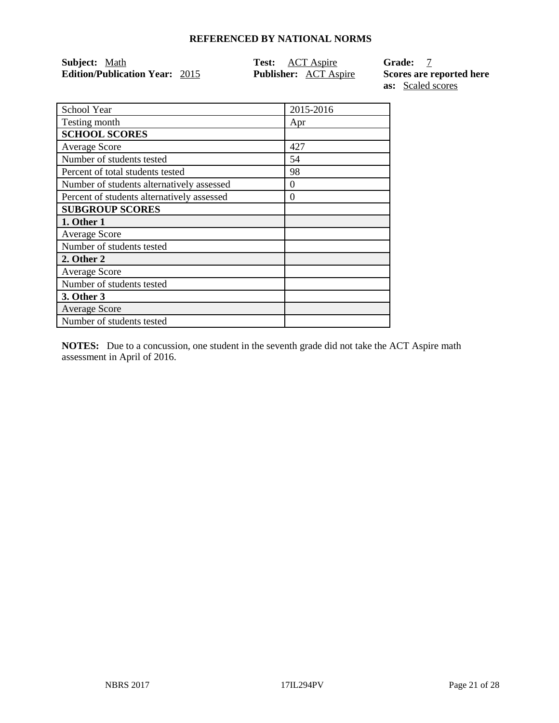| Subject: Math                         | <b>Test:</b> ACT Aspire      | <b>Grade:</b>            |
|---------------------------------------|------------------------------|--------------------------|
| <b>Edition/Publication Year: 2015</b> | <b>Publisher:</b> ACT Aspire | Scores are reported here |
|                                       |                              |                          |

**as:** Scaled scores

| School Year                                | 2015-2016 |
|--------------------------------------------|-----------|
| Testing month                              | Apr       |
| <b>SCHOOL SCORES</b>                       |           |
| <b>Average Score</b>                       | 427       |
| Number of students tested                  | 54        |
| Percent of total students tested           | 98        |
| Number of students alternatively assessed  | $\theta$  |
| Percent of students alternatively assessed | $\theta$  |
| <b>SUBGROUP SCORES</b>                     |           |
| 1. Other 1                                 |           |
| <b>Average Score</b>                       |           |
| Number of students tested                  |           |
| 2. Other 2                                 |           |
| <b>Average Score</b>                       |           |
| Number of students tested                  |           |
| 3. Other 3                                 |           |
| <b>Average Score</b>                       |           |
| Number of students tested                  |           |

**NOTES:** Due to a concussion, one student in the seventh grade did not take the ACT Aspire math assessment in April of 2016.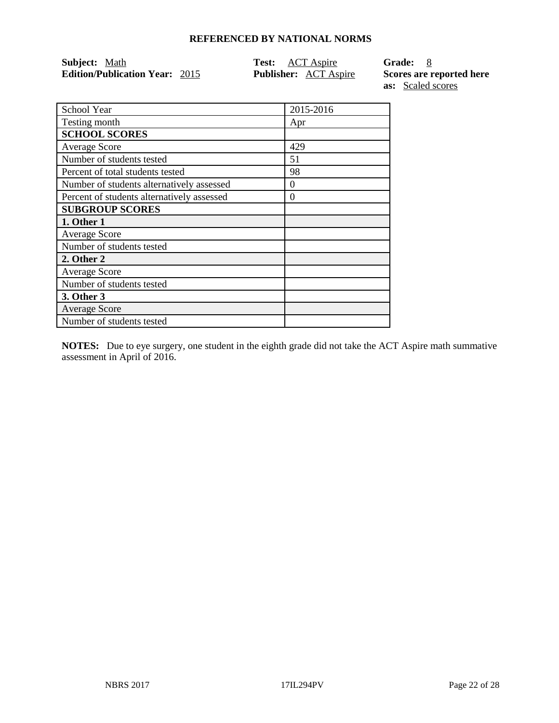| <b>Subject:</b> Math                  | <b>Test:</b> ACT Aspire      | Grade: 8                 |
|---------------------------------------|------------------------------|--------------------------|
| <b>Edition/Publication Year: 2015</b> | <b>Publisher:</b> ACT Aspire | Scores are reported here |
|                                       |                              | <b>as:</b> Scaled scores |

| School Year                                | 2015-2016 |
|--------------------------------------------|-----------|
| Testing month                              | Apr       |
| <b>SCHOOL SCORES</b>                       |           |
| <b>Average Score</b>                       | 429       |
| Number of students tested                  | 51        |
| Percent of total students tested           | 98        |
| Number of students alternatively assessed  | 0         |
| Percent of students alternatively assessed | 0         |
| <b>SUBGROUP SCORES</b>                     |           |
| 1. Other 1                                 |           |
| Average Score                              |           |
| Number of students tested                  |           |
| 2. Other 2                                 |           |
| <b>Average Score</b>                       |           |
| Number of students tested                  |           |
| 3. Other 3                                 |           |
| <b>Average Score</b>                       |           |
| Number of students tested                  |           |

**NOTES:** Due to eye surgery, one student in the eighth grade did not take the ACT Aspire math summative assessment in April of 2016.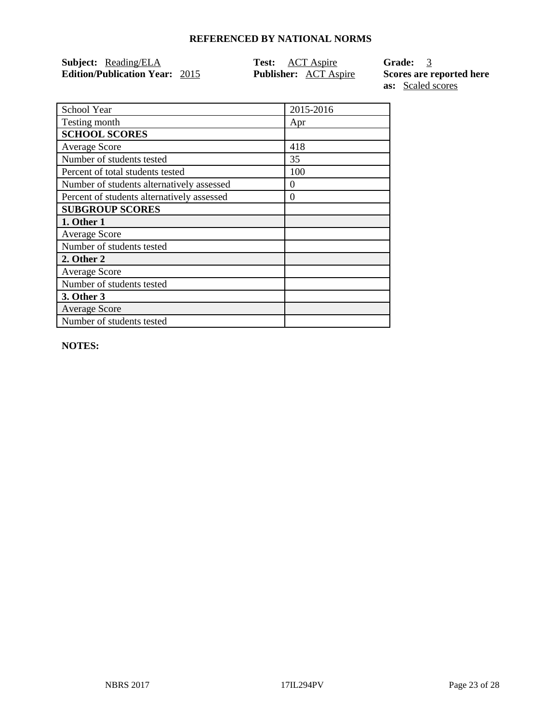| <b>Subject:</b> Reading/ELA           | <b>Test:</b> ACT Aspire      | Grade: 3                 |
|---------------------------------------|------------------------------|--------------------------|
| <b>Edition/Publication Year: 2015</b> | <b>Publisher:</b> ACT Aspire | Scores are reported here |

**as:** Scaled scores

| School Year                                | 2015-2016 |
|--------------------------------------------|-----------|
| Testing month                              | Apr       |
| <b>SCHOOL SCORES</b>                       |           |
| <b>Average Score</b>                       | 418       |
| Number of students tested                  | 35        |
| Percent of total students tested           | 100       |
| Number of students alternatively assessed  | $\Omega$  |
| Percent of students alternatively assessed | $\theta$  |
| <b>SUBGROUP SCORES</b>                     |           |
| 1. Other 1                                 |           |
| <b>Average Score</b>                       |           |
| Number of students tested                  |           |
| 2. Other 2                                 |           |
| <b>Average Score</b>                       |           |
| Number of students tested                  |           |
| 3. Other 3                                 |           |
| <b>Average Score</b>                       |           |
| Number of students tested                  |           |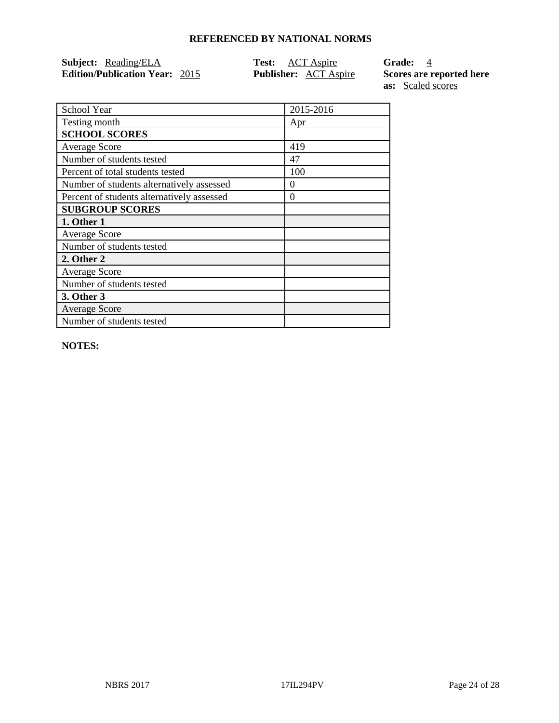| <b>Subject:</b> Reading/ELA           | <b>Test:</b> ACT Aspire      | Grade: 4                 |
|---------------------------------------|------------------------------|--------------------------|
| <b>Edition/Publication Year: 2015</b> | <b>Publisher:</b> ACT Aspire | Scores are reported here |

**as:** Scaled scores

| School Year                                | 2015-2016 |
|--------------------------------------------|-----------|
| Testing month                              | Apr       |
| <b>SCHOOL SCORES</b>                       |           |
| <b>Average Score</b>                       | 419       |
| Number of students tested                  | 47        |
| Percent of total students tested           | 100       |
| Number of students alternatively assessed  | $\Omega$  |
| Percent of students alternatively assessed | 0         |
| <b>SUBGROUP SCORES</b>                     |           |
| 1. Other 1                                 |           |
| <b>Average Score</b>                       |           |
| Number of students tested                  |           |
| 2. Other 2                                 |           |
| <b>Average Score</b>                       |           |
| Number of students tested                  |           |
| 3. Other 3                                 |           |
| <b>Average Score</b>                       |           |
| Number of students tested                  |           |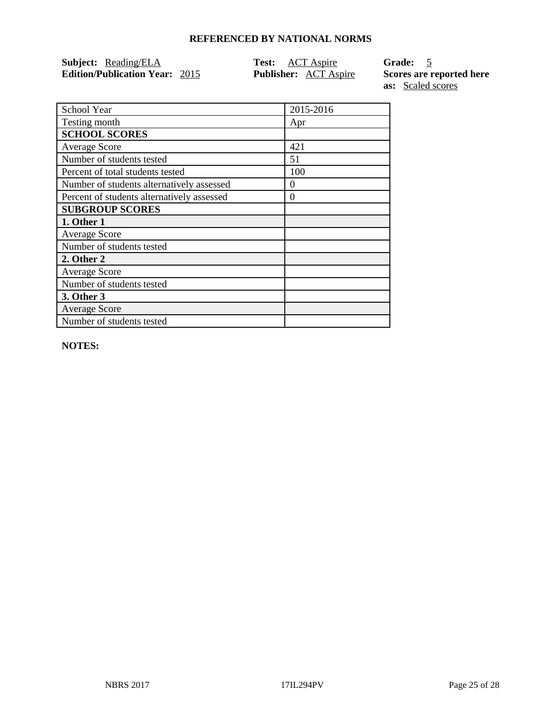| <b>Subject:</b> Reading/ELA           | <b>Test:</b> ACT Aspire      | Grade: 5                 |
|---------------------------------------|------------------------------|--------------------------|
| <b>Edition/Publication Year: 2015</b> | <b>Publisher:</b> ACT Aspire | Scores are reported here |

**as:** Scaled scores

| School Year                                | 2015-2016 |
|--------------------------------------------|-----------|
| Testing month                              | Apr       |
| <b>SCHOOL SCORES</b>                       |           |
| <b>Average Score</b>                       | 421       |
| Number of students tested                  | 51        |
| Percent of total students tested           | 100       |
| Number of students alternatively assessed  | $\Omega$  |
| Percent of students alternatively assessed | $\theta$  |
| <b>SUBGROUP SCORES</b>                     |           |
| 1. Other 1                                 |           |
| <b>Average Score</b>                       |           |
| Number of students tested                  |           |
| 2. Other 2                                 |           |
| <b>Average Score</b>                       |           |
| Number of students tested                  |           |
| 3. Other 3                                 |           |
| <b>Average Score</b>                       |           |
| Number of students tested                  |           |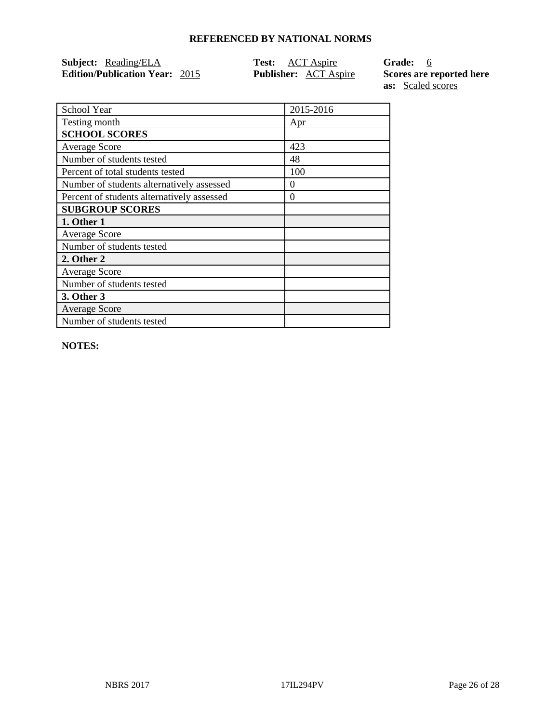| <b>Subject:</b> Reading/ELA           | <b>Test:</b> ACT Aspire      | Grade: 6                 |
|---------------------------------------|------------------------------|--------------------------|
| <b>Edition/Publication Year: 2015</b> | <b>Publisher:</b> ACT Aspire | Scores are reported here |

**as:** Scaled scores

| School Year                                | 2015-2016 |
|--------------------------------------------|-----------|
| Testing month                              | Apr       |
| <b>SCHOOL SCORES</b>                       |           |
| <b>Average Score</b>                       | 423       |
| Number of students tested                  | 48        |
| Percent of total students tested           | 100       |
| Number of students alternatively assessed  | 0         |
| Percent of students alternatively assessed | 0         |
| <b>SUBGROUP SCORES</b>                     |           |
| 1. Other 1                                 |           |
| <b>Average Score</b>                       |           |
| Number of students tested                  |           |
| 2. Other 2                                 |           |
| <b>Average Score</b>                       |           |
| Number of students tested                  |           |
| 3. Other 3                                 |           |
| <b>Average Score</b>                       |           |
| Number of students tested                  |           |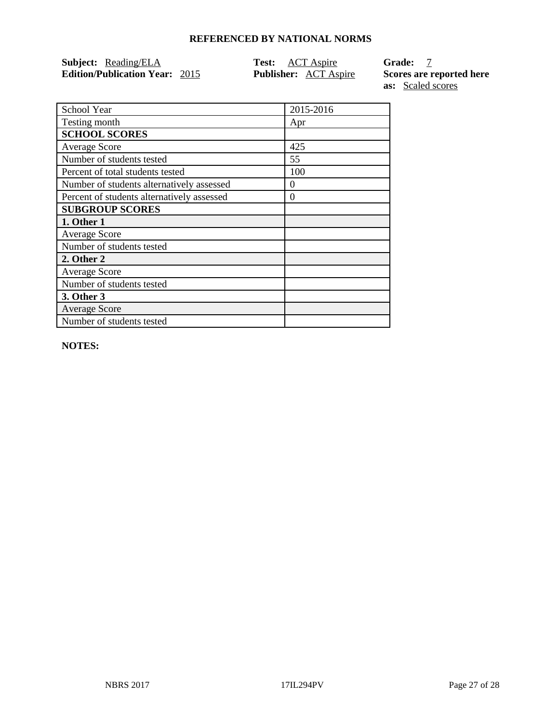| <b>Subject:</b> Reading/ELA           | <b>Test:</b> ACT Aspire |                              | <b>Grade:</b>            |
|---------------------------------------|-------------------------|------------------------------|--------------------------|
| <b>Edition/Publication Year: 2015</b> |                         | <b>Publisher:</b> ACT Aspire | Scores are reported here |

**as:** Scaled scores

| School Year                                | 2015-2016 |
|--------------------------------------------|-----------|
| Testing month                              | Apr       |
| <b>SCHOOL SCORES</b>                       |           |
| <b>Average Score</b>                       | 425       |
| Number of students tested                  | 55        |
| Percent of total students tested           | 100       |
| Number of students alternatively assessed  | 0         |
| Percent of students alternatively assessed | 0         |
| <b>SUBGROUP SCORES</b>                     |           |
| 1. Other 1                                 |           |
| <b>Average Score</b>                       |           |
| Number of students tested                  |           |
| 2. Other 2                                 |           |
| <b>Average Score</b>                       |           |
| Number of students tested                  |           |
| 3. Other 3                                 |           |
| <b>Average Score</b>                       |           |
| Number of students tested                  |           |